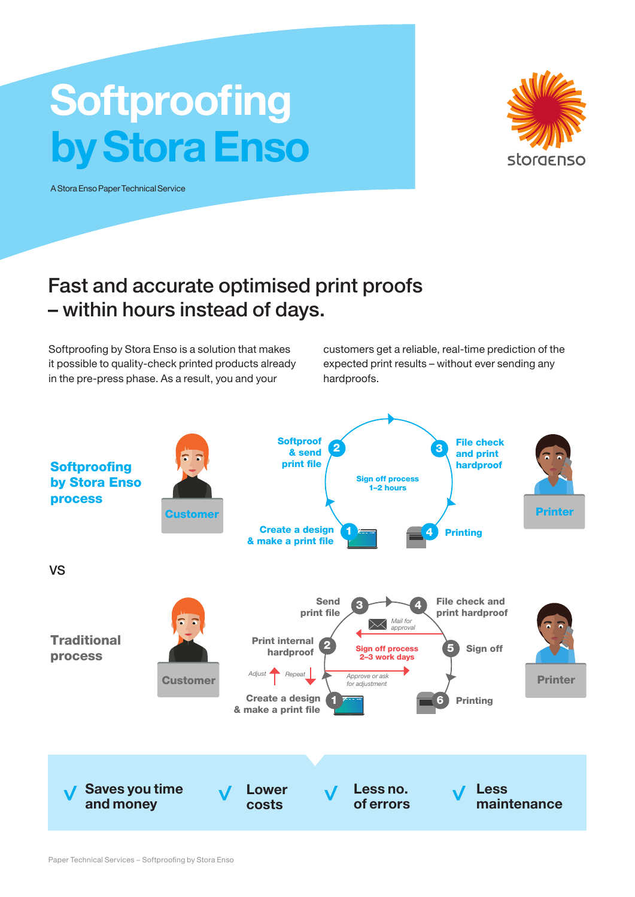## **Softproofing** by Stora Enso

A Stora Enso Paper Technical Service



## Fast and accurate optimised print proofs – within hours instead of days.

Softproofing by Stora Enso is a solution that makes it possible to quality-check printed products already in the pre-press phase. As a result, you and your

customers get a reliable, real-time prediction of the expected print results – without ever sending any hardproofs.